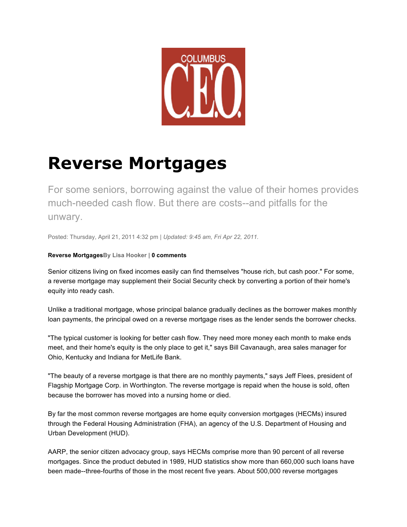

# **Reverse Mortgages**

For some seniors, borrowing against the value of their homes provides much-needed cash flow. But there are costs--and pitfalls for the unwary.

Posted: Thursday, April 21, 2011 4:32 pm | *Updated: 9:45 am, Fri Apr 22, 2011.* 

## **Reverse MortgagesBy Lisa Hooker | 0 comments**

Senior citizens living on fixed incomes easily can find themselves "house rich, but cash poor." For some, a reverse mortgage may supplement their Social Security check by converting a portion of their home's equity into ready cash.

Unlike a traditional mortgage, whose principal balance gradually declines as the borrower makes monthly loan payments, the principal owed on a reverse mortgage rises as the lender sends the borrower checks.

"The typical customer is looking for better cash flow. They need more money each month to make ends meet, and their home's equity is the only place to get it," says Bill Cavanaugh, area sales manager for Ohio, Kentucky and Indiana for MetLife Bank.

"The beauty of a reverse mortgage is that there are no monthly payments," says Jeff Flees, president of Flagship Mortgage Corp. in Worthington. The reverse mortgage is repaid when the house is sold, often because the borrower has moved into a nursing home or died.

By far the most common reverse mortgages are home equity conversion mortgages (HECMs) insured through the Federal Housing Administration (FHA), an agency of the U.S. Department of Housing and Urban Development (HUD).

AARP, the senior citizen advocacy group, says HECMs comprise more than 90 percent of all reverse mortgages. Since the product debuted in 1989, HUD statistics show more than 660,000 such loans have been made--three-fourths of those in the most recent five years. About 500,000 reverse mortgages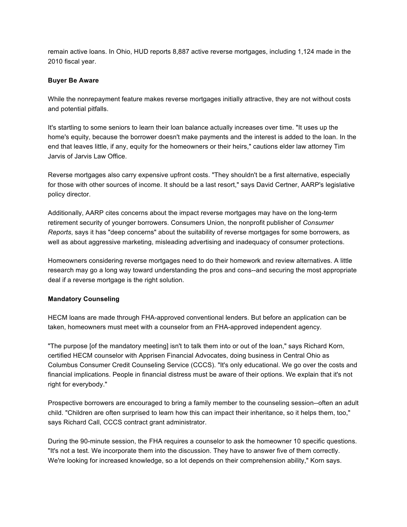remain active loans. In Ohio, HUD reports 8,887 active reverse mortgages, including 1,124 made in the 2010 fiscal year.

#### **Buyer Be Aware**

While the nonrepayment feature makes reverse mortgages initially attractive, they are not without costs and potential pitfalls.

It's startling to some seniors to learn their loan balance actually increases over time. "It uses up the home's equity, because the borrower doesn't make payments and the interest is added to the loan. In the end that leaves little, if any, equity for the homeowners or their heirs," cautions elder law attorney Tim Jarvis of Jarvis Law Office.

Reverse mortgages also carry expensive upfront costs. "They shouldn't be a first alternative, especially for those with other sources of income. It should be a last resort," says David Certner, AARP's legislative policy director.

Additionally, AARP cites concerns about the impact reverse mortgages may have on the long-term retirement security of younger borrowers. Consumers Union, the nonprofit publisher of *Consumer Reports*, says it has "deep concerns" about the suitability of reverse mortgages for some borrowers, as well as about aggressive marketing, misleading advertising and inadequacy of consumer protections.

Homeowners considering reverse mortgages need to do their homework and review alternatives. A little research may go a long way toward understanding the pros and cons--and securing the most appropriate deal if a reverse mortgage is the right solution.

## **Mandatory Counseling**

HECM loans are made through FHA-approved conventional lenders. But before an application can be taken, homeowners must meet with a counselor from an FHA-approved independent agency.

"The purpose [of the mandatory meeting] isn't to talk them into or out of the loan," says Richard Korn, certified HECM counselor with Apprisen Financial Advocates, doing business in Central Ohio as Columbus Consumer Credit Counseling Service (CCCS). "It's only educational. We go over the costs and financial implications. People in financial distress must be aware of their options. We explain that it's not right for everybody."

Prospective borrowers are encouraged to bring a family member to the counseling session--often an adult child. "Children are often surprised to learn how this can impact their inheritance, so it helps them, too," says Richard Call, CCCS contract grant administrator.

During the 90-minute session, the FHA requires a counselor to ask the homeowner 10 specific questions. "It's not a test. We incorporate them into the discussion. They have to answer five of them correctly. We're looking for increased knowledge, so a lot depends on their comprehension ability," Korn says.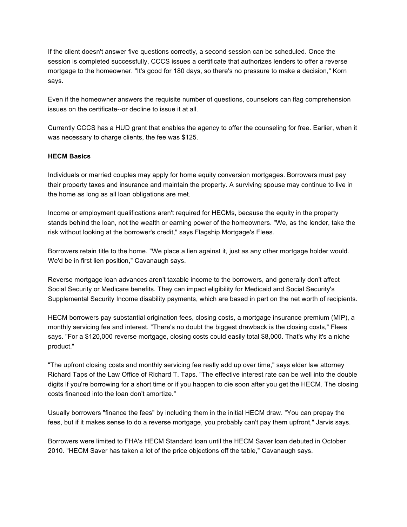If the client doesn't answer five questions correctly, a second session can be scheduled. Once the session is completed successfully, CCCS issues a certificate that authorizes lenders to offer a reverse mortgage to the homeowner. "It's good for 180 days, so there's no pressure to make a decision," Korn says.

Even if the homeowner answers the requisite number of questions, counselors can flag comprehension issues on the certificate--or decline to issue it at all.

Currently CCCS has a HUD grant that enables the agency to offer the counseling for free. Earlier, when it was necessary to charge clients, the fee was \$125.

#### **HECM Basics**

Individuals or married couples may apply for home equity conversion mortgages. Borrowers must pay their property taxes and insurance and maintain the property. A surviving spouse may continue to live in the home as long as all loan obligations are met.

Income or employment qualifications aren't required for HECMs, because the equity in the property stands behind the loan, not the wealth or earning power of the homeowners. "We, as the lender, take the risk without looking at the borrower's credit," says Flagship Mortgage's Flees.

Borrowers retain title to the home. "We place a lien against it, just as any other mortgage holder would. We'd be in first lien position," Cavanaugh says.

Reverse mortgage loan advances aren't taxable income to the borrowers, and generally don't affect Social Security or Medicare benefits. They can impact eligibility for Medicaid and Social Security's Supplemental Security Income disability payments, which are based in part on the net worth of recipients.

HECM borrowers pay substantial origination fees, closing costs, a mortgage insurance premium (MIP), a monthly servicing fee and interest. "There's no doubt the biggest drawback is the closing costs," Flees says. "For a \$120,000 reverse mortgage, closing costs could easily total \$8,000. That's why it's a niche product."

"The upfront closing costs and monthly servicing fee really add up over time," says elder law attorney Richard Taps of the Law Office of Richard T. Taps. "The effective interest rate can be well into the double digits if you're borrowing for a short time or if you happen to die soon after you get the HECM. The closing costs financed into the loan don't amortize."

Usually borrowers "finance the fees" by including them in the initial HECM draw. "You can prepay the fees, but if it makes sense to do a reverse mortgage, you probably can't pay them upfront," Jarvis says.

Borrowers were limited to FHA's HECM Standard loan until the HECM Saver loan debuted in October 2010. "HECM Saver has taken a lot of the price objections off the table," Cavanaugh says.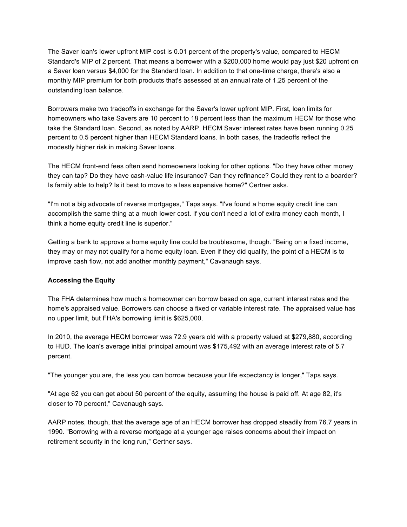The Saver loan's lower upfront MIP cost is 0.01 percent of the property's value, compared to HECM Standard's MIP of 2 percent. That means a borrower with a \$200,000 home would pay just \$20 upfront on a Saver loan versus \$4,000 for the Standard loan. In addition to that one-time charge, there's also a monthly MIP premium for both products that's assessed at an annual rate of 1.25 percent of the outstanding loan balance.

Borrowers make two tradeoffs in exchange for the Saver's lower upfront MIP. First, loan limits for homeowners who take Savers are 10 percent to 18 percent less than the maximum HECM for those who take the Standard loan. Second, as noted by AARP, HECM Saver interest rates have been running 0.25 percent to 0.5 percent higher than HECM Standard loans. In both cases, the tradeoffs reflect the modestly higher risk in making Saver loans.

The HECM front-end fees often send homeowners looking for other options. "Do they have other money they can tap? Do they have cash-value life insurance? Can they refinance? Could they rent to a boarder? Is family able to help? Is it best to move to a less expensive home?" Certner asks.

"I'm not a big advocate of reverse mortgages," Taps says. "I've found a home equity credit line can accomplish the same thing at a much lower cost. If you don't need a lot of extra money each month, I think a home equity credit line is superior."

Getting a bank to approve a home equity line could be troublesome, though. "Being on a fixed income, they may or may not qualify for a home equity loan. Even if they did qualify, the point of a HECM is to improve cash flow, not add another monthly payment," Cavanaugh says.

#### **Accessing the Equity**

The FHA determines how much a homeowner can borrow based on age, current interest rates and the home's appraised value. Borrowers can choose a fixed or variable interest rate. The appraised value has no upper limit, but FHA's borrowing limit is \$625,000.

In 2010, the average HECM borrower was 72.9 years old with a property valued at \$279,880, according to HUD. The loan's average initial principal amount was \$175,492 with an average interest rate of 5.7 percent.

"The younger you are, the less you can borrow because your life expectancy is longer," Taps says.

"At age 62 you can get about 50 percent of the equity, assuming the house is paid off. At age 82, it's closer to 70 percent," Cavanaugh says.

AARP notes, though, that the average age of an HECM borrower has dropped steadily from 76.7 years in 1990. "Borrowing with a reverse mortgage at a younger age raises concerns about their impact on retirement security in the long run," Certner says.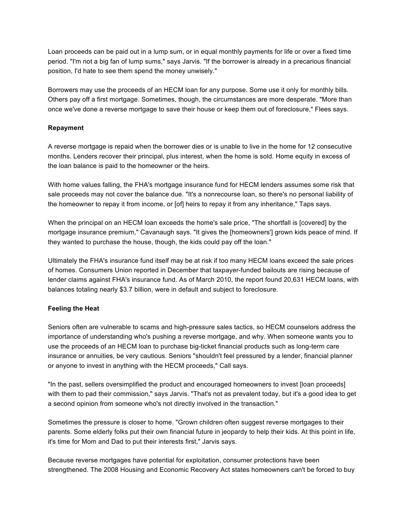Loan proceeds can be paid out in a lump sum, or in equal monthly payments for life or over a fixed time period. "I'm not a big fan of lump sums," says Jarvis. "If the borrower is already in a precarious financial position, I'd hate to see them spend the money unwisely."

Borrowers may use the proceeds of an HECM loan for any purpose. Some use it only for monthly bills. Others pay off a first mortgage. Sometimes, though, the circumstances are more desperate. "More than once we've done a reverse mortgage to save their house or keep them out of foreclosure," Flees says.

### **Repayment**

A reverse mortgage is repaid when the borrower dies or is unable to live in the home for 12 consecutive months. Lenders recover their principal, plus interest, when the home is sold. Home equity in excess of the loan balance is paid to the homeowner or the heirs.

With home values falling, the FHA's mortgage insurance fund for HECM lenders assumes some risk that sale proceeds may not cover the balance due. "It's a nonrecourse loan, so there's no personal liability of the homeowner to repay it from income, or [of] heirs to repay it from any inheritance," Taps says.

When the principal on an HECM loan exceeds the home's sale price, "The shortfall is [covered] by the mortgage insurance premium," Cavanaugh says. "It gives the [homeowners'] grown kids peace of mind. If they wanted to purchase the house, though, the kids could pay off the loan."

Ultimately the FHA's insurance fund itself may be at risk if too many HECM loans exceed the sale prices of homes. Consumers Union reported in December that taxpayer-funded bailouts are rising because of lender claims against FHA's insurance fund. As of March 2010, the report found 20,631 HECM loans, with balances totaling nearly \$3.7 billion, were in default and subject to foreclosure.

#### **Feeling the Heat**

Seniors often are vulnerable to scams and high-pressure sales tactics, so HECM counselors address the importance of understanding who's pushing a reverse mortgage, and why. When someone wants you to use the proceeds of an HECM loan to purchase big-ticket financial products such as long-term care insurance or annuities, be very cautious. Seniors "shouldn't feel pressured by a lender, financial planner or anyone to invest in anything with the HECM proceeds," Call says.

"In the past, sellers oversimplified the product and encouraged homeowners to invest [loan proceeds] with them to pad their commission," says Jarvis. "That's not as prevalent today, but it's a good idea to get a second opinion from someone who's not directly involved in the transaction."

Sometimes the pressure is closer to home. "Grown children often suggest reverse mortgages to their parents. Some elderly folks put their own financial future in jeopardy to help their kids. At this point in life, it's time for Mom and Dad to put their interests first," Jarvis says.

Because reverse mortgages have potential for exploitation, consumer protections have been strengthened. The 2008 Housing and Economic Recovery Act states homeowners can't be forced to buy